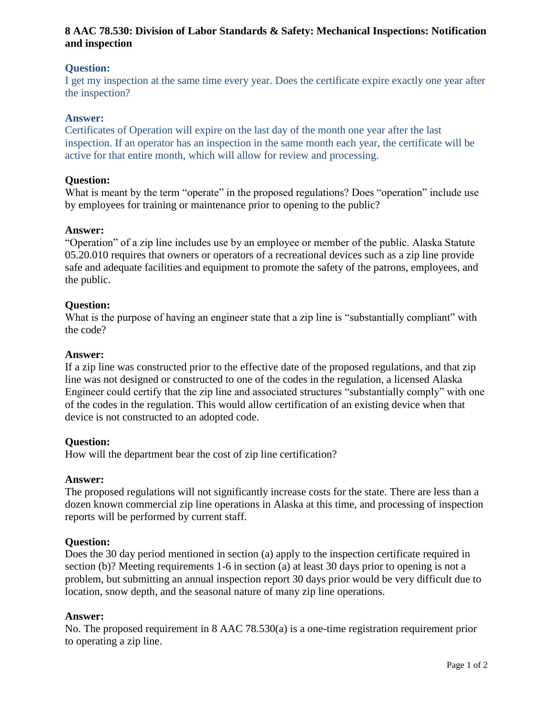# **8 AAC 78.530: Division of Labor Standards & Safety: Mechanical Inspections: Notification and inspection**

# **Question:**

I get my inspection at the same time every year. Does the certificate expire exactly one year after the inspection?

# **Answer:**

Certificates of Operation will expire on the last day of the month one year after the last inspection. If an operator has an inspection in the same month each year, the certificate will be active for that entire month, which will allow for review and processing.

### **Question:**

What is meant by the term "operate" in the proposed regulations? Does "operation" include use by employees for training or maintenance prior to opening to the public?

### **Answer:**

"Operation" of a zip line includes use by an employee or member of the public. Alaska Statute 05.20.010 requires that owners or operators of a recreational devices such as a zip line provide safe and adequate facilities and equipment to promote the safety of the patrons, employees, and the public.

# **Question:**

What is the purpose of having an engineer state that a zip line is "substantially compliant" with the code?

### **Answer:**

If a zip line was constructed prior to the effective date of the proposed regulations, and that zip line was not designed or constructed to one of the codes in the regulation, a licensed Alaska Engineer could certify that the zip line and associated structures "substantially comply" with one of the codes in the regulation. This would allow certification of an existing device when that device is not constructed to an adopted code.

# **Question:**

How will the department bear the cost of zip line certification?

#### **Answer:**

The proposed regulations will not significantly increase costs for the state. There are less than a dozen known commercial zip line operations in Alaska at this time, and processing of inspection reports will be performed by current staff.

#### **Question:**

Does the 30 day period mentioned in section (a) apply to the inspection certificate required in section (b)? Meeting requirements 1-6 in section (a) at least 30 days prior to opening is not a problem, but submitting an annual inspection report 30 days prior would be very difficult due to location, snow depth, and the seasonal nature of many zip line operations.

#### **Answer:**

No. The proposed requirement in 8 AAC 78.530(a) is a one-time registration requirement prior to operating a zip line.